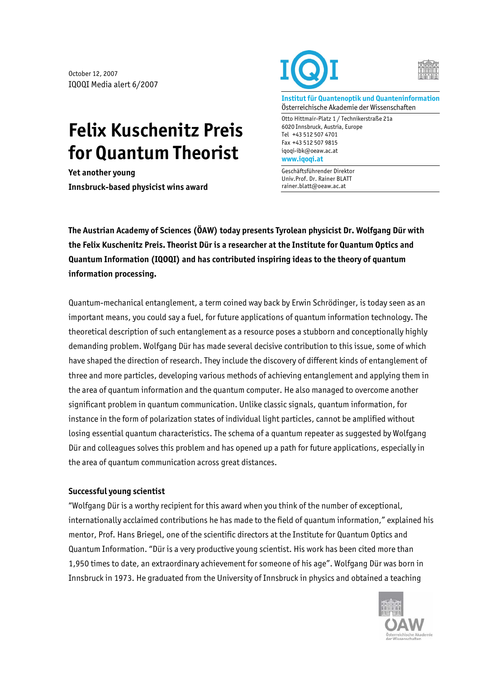October 12, 2007 IQOQI Media alert 6/2007

## **Felix Kuschenitz Preis for Quantum Theorist**

**Yet another young Innsbruck-based physicist wins award** 





**Institut für Quantenoptik und Quanteninformation**  Österreichische Akademie der Wissenschaften

Otto Hittmair-Platz 1 / Technikerstraße 21a 6020 Innsbruck, Austria, Europe Tel +43 512 507 4701 Fax +43 512 507 9815 iqoqi-ibk@oeaw.ac.at **www.iqoqi.at** 

Geschäftsführender Direktor Univ.Prof. Dr. Rainer BLATT rainer.blatt@oeaw.ac.at

**The Austrian Academy of Sciences (ÖAW) today presents Tyrolean physicist Dr. Wolfgang Dür with the Felix Kuschenitz Preis. Theorist Dür is a researcher at the Institute for Quantum Optics and Quantum Information (IQOQI) and has contributed inspiring ideas to the theory of quantum information processing.** 

Quantum-mechanical entanglement, a term coined way back by Erwin Schrödinger, is today seen as an important means, you could say a fuel, for future applications of quantum information technology. The theoretical description of such entanglement as a resource poses a stubborn and conceptionally highly demanding problem. Wolfgang Dür has made several decisive contribution to this issue, some of which have shaped the direction of research. They include the discovery of different kinds of entanglement of three and more particles, developing various methods of achieving entanglement and applying them in the area of quantum information and the quantum computer. He also managed to overcome another significant problem in quantum communication. Unlike classic signals, quantum information, for instance in the form of polarization states of individual light particles, cannot be amplified without losing essential quantum characteristics. The schema of a quantum repeater as suggested by Wolfgang Dür and colleagues solves this problem and has opened up a path for future applications, especially in the area of quantum communication across great distances.

## **Successful young scientist**

"Wolfgang Dür is a worthy recipient for this award when you think of the number of exceptional, internationally acclaimed contributions he has made to the field of quantum information," explained his mentor, Prof. Hans Briegel, one of the scientific directors at the Institute for Quantum Optics and Quantum Information. "Dür is a very productive young scientist. His work has been cited more than 1,950 times to date, an extraordinary achievement for someone of his age". Wolfgang Dür was born in Innsbruck in 1973. He graduated from the University of Innsbruck in physics and obtained a teaching